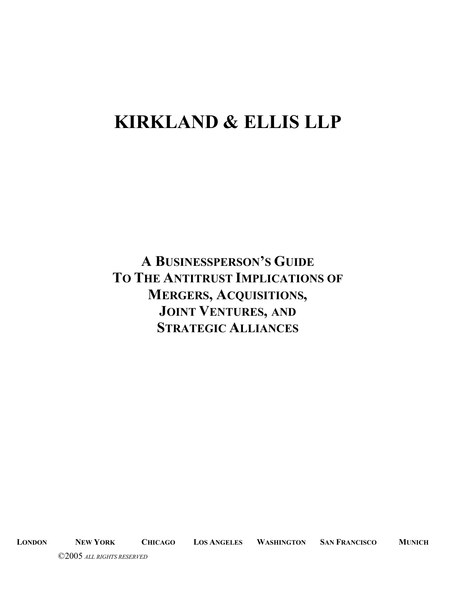# **KIRKLAND & ELLIS LLP**

**A BUSINESSPERSON'S GUIDE TO THE ANTITRUST IMPLICATIONS OF MERGERS, ACQUISITIONS, JOINT VENTURES, AND STRATEGIC ALLIANCES**

**LONDON NEW YORK CHICAGO LOS ANGELES WASHINGTON SAN FRANCISCO MUNICH**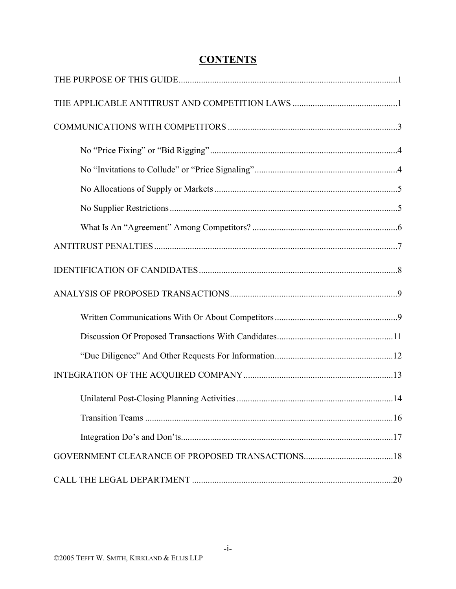# **CONTENTS**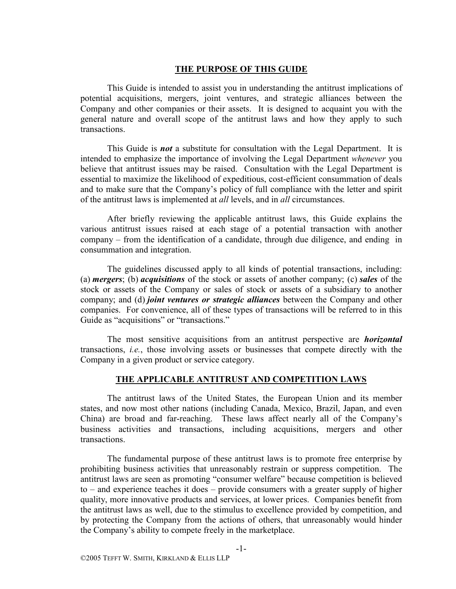#### **THE PURPOSE OF THIS GUIDE**

This Guide is intended to assist you in understanding the antitrust implications of potential acquisitions, mergers, joint ventures, and strategic alliances between the Company and other companies or their assets. It is designed to acquaint you with the general nature and overall scope of the antitrust laws and how they apply to such transactions.

This Guide is *not* a substitute for consultation with the Legal Department. It is intended to emphasize the importance of involving the Legal Department *whenever* you believe that antitrust issues may be raised. Consultation with the Legal Department is essential to maximize the likelihood of expeditious, cost-efficient consummation of deals and to make sure that the Company's policy of full compliance with the letter and spirit of the antitrust laws is implemented at *all* levels, and in *all* circumstances.

After briefly reviewing the applicable antitrust laws, this Guide explains the various antitrust issues raised at each stage of a potential transaction with another company – from the identification of a candidate, through due diligence, and ending in consummation and integration.

The guidelines discussed apply to all kinds of potential transactions, including: (a) *mergers*; (b) *acquisitions* of the stock or assets of another company; (c) *sales* of the stock or assets of the Company or sales of stock or assets of a subsidiary to another company; and (d) *joint ventures or strategic alliances* between the Company and other companies. For convenience, all of these types of transactions will be referred to in this Guide as "acquisitions" or "transactions."

The most sensitive acquisitions from an antitrust perspective are *horizontal* transactions, *i.e.*, those involving assets or businesses that compete directly with the Company in a given product or service category.

#### **THE APPLICABLE ANTITRUST AND COMPETITION LAWS**

The antitrust laws of the United States, the European Union and its member states, and now most other nations (including Canada, Mexico, Brazil, Japan, and even China) are broad and far-reaching. These laws affect nearly all of the Company's business activities and transactions, including acquisitions, mergers and other transactions.

The fundamental purpose of these antitrust laws is to promote free enterprise by prohibiting business activities that unreasonably restrain or suppress competition. The antitrust laws are seen as promoting "consumer welfare" because competition is believed to – and experience teaches it does – provide consumers with a greater supply of higher quality, more innovative products and services, at lower prices. Companies benefit from the antitrust laws as well, due to the stimulus to excellence provided by competition, and by protecting the Company from the actions of others, that unreasonably would hinder the Company's ability to compete freely in the marketplace.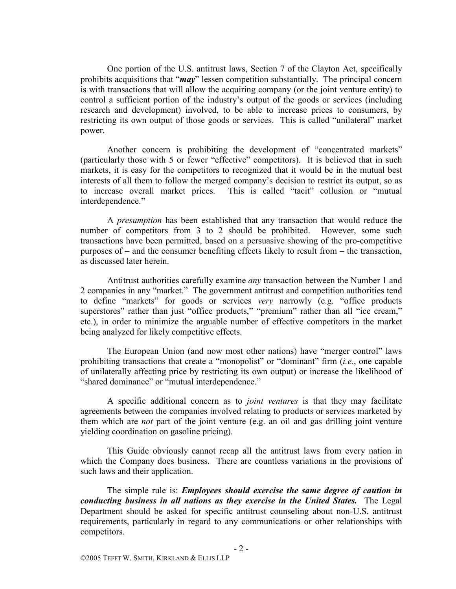One portion of the U.S. antitrust laws, Section 7 of the Clayton Act, specifically prohibits acquisitions that "*may*" lessen competition substantially. The principal concern is with transactions that will allow the acquiring company (or the joint venture entity) to control a sufficient portion of the industry's output of the goods or services (including research and development) involved, to be able to increase prices to consumers, by restricting its own output of those goods or services. This is called "unilateral" market power.

Another concern is prohibiting the development of "concentrated markets" (particularly those with 5 or fewer "effective" competitors). It is believed that in such markets, it is easy for the competitors to recognized that it would be in the mutual best interests of all them to follow the merged company's decision to restrict its output, so as to increase overall market prices. This is called "tacit" collusion or "mutual interdependence."

A *presumption* has been established that any transaction that would reduce the number of competitors from 3 to 2 should be prohibited. However, some such transactions have been permitted, based on a persuasive showing of the pro-competitive purposes of – and the consumer benefiting effects likely to result from – the transaction, as discussed later herein.

Antitrust authorities carefully examine *any* transaction between the Number 1 and 2 companies in any "market." The government antitrust and competition authorities tend to define "markets" for goods or services *very* narrowly (e.g. "office products superstores" rather than just "office products," "premium" rather than all "ice cream," etc.), in order to minimize the arguable number of effective competitors in the market being analyzed for likely competitive effects.

The European Union (and now most other nations) have "merger control" laws prohibiting transactions that create a "monopolist" or "dominant" firm (*i.e.*, one capable of unilaterally affecting price by restricting its own output) or increase the likelihood of "shared dominance" or "mutual interdependence."

A specific additional concern as to *joint ventures* is that they may facilitate agreements between the companies involved relating to products or services marketed by them which are *not* part of the joint venture (e.g. an oil and gas drilling joint venture yielding coordination on gasoline pricing).

This Guide obviously cannot recap all the antitrust laws from every nation in which the Company does business. There are countless variations in the provisions of such laws and their application.

The simple rule is: *Employees should exercise the same degree of caution in conducting business in all nations as they exercise in the United States.* The Legal Department should be asked for specific antitrust counseling about non-U.S. antitrust requirements, particularly in regard to any communications or other relationships with competitors.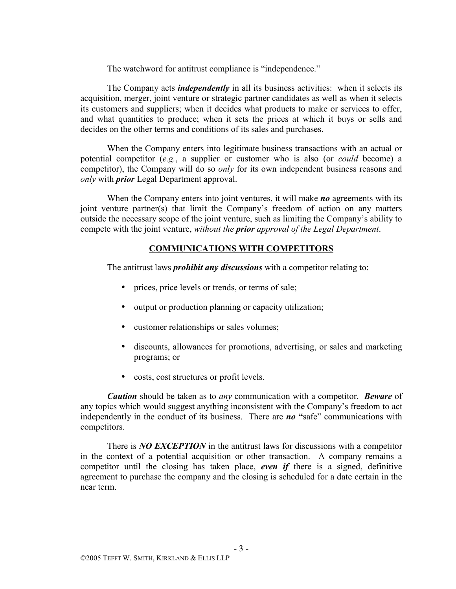The watchword for antitrust compliance is "independence."

The Company acts *independently* in all its business activities: when it selects its acquisition, merger, joint venture or strategic partner candidates as well as when it selects its customers and suppliers; when it decides what products to make or services to offer, and what quantities to produce; when it sets the prices at which it buys or sells and decides on the other terms and conditions of its sales and purchases.

When the Company enters into legitimate business transactions with an actual or potential competitor (*e.g.*, a supplier or customer who is also (or *could* become) a competitor), the Company will do so *only* for its own independent business reasons and *only* with *prior* Legal Department approval.

When the Company enters into joint ventures, it will make *no* agreements with its joint venture partner(s) that limit the Company's freedom of action on any matters outside the necessary scope of the joint venture, such as limiting the Company's ability to compete with the joint venture, *without the prior approval of the Legal Department*.

# **COMMUNICATIONS WITH COMPETITORS**

The antitrust laws *prohibit any discussions* with a competitor relating to:

- prices, price levels or trends, or terms of sale;
- output or production planning or capacity utilization;
- customer relationships or sales volumes;
- discounts, allowances for promotions, advertising, or sales and marketing programs; or
- costs, cost structures or profit levels.

*Caution* should be taken as to *any* communication with a competitor. *Beware* of any topics which would suggest anything inconsistent with the Company's freedom to act independently in the conduct of its business. There are *no* **"**safe" communications with competitors.

There is *NO EXCEPTION* in the antitrust laws for discussions with a competitor in the context of a potential acquisition or other transaction. A company remains a competitor until the closing has taken place, *even if* there is a signed, definitive agreement to purchase the company and the closing is scheduled for a date certain in the near term.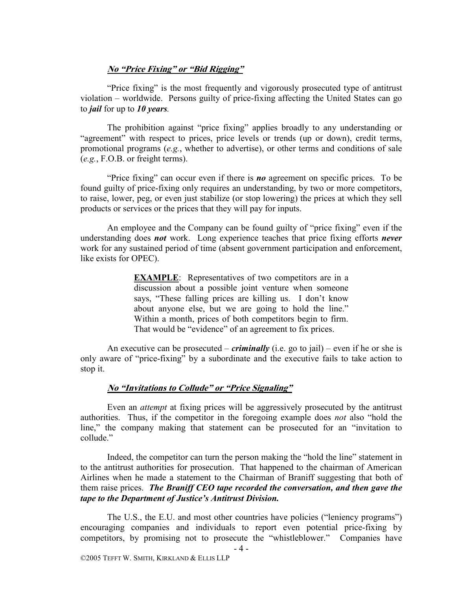#### **No "Price Fixing" or "Bid Rigging"**

"Price fixing" is the most frequently and vigorously prosecuted type of antitrust violation – worldwide. Persons guilty of price-fixing affecting the United States can go to *jail* for up to *10 years.* 

The prohibition against "price fixing" applies broadly to any understanding or "agreement" with respect to prices, price levels or trends (up or down), credit terms, promotional programs (*e.g.*, whether to advertise), or other terms and conditions of sale (*e.g.*, F.O.B. or freight terms).

"Price fixing" can occur even if there is *no* agreement on specific prices. To be found guilty of price-fixing only requires an understanding, by two or more competitors, to raise, lower, peg, or even just stabilize (or stop lowering) the prices at which they sell products or services or the prices that they will pay for inputs.

An employee and the Company can be found guilty of "price fixing" even if the understanding does *not* work. Long experience teaches that price fixing efforts *never* work for any sustained period of time (absent government participation and enforcement, like exists for OPEC).

> **EXAMPLE**: Representatives of two competitors are in a discussion about a possible joint venture when someone says, "These falling prices are killing us. I don't know about anyone else, but we are going to hold the line." Within a month, prices of both competitors begin to firm. That would be "evidence" of an agreement to fix prices.

An executive can be prosecuted – *criminally* (i.e. go to jail) – even if he or she is only aware of "price-fixing" by a subordinate and the executive fails to take action to stop it.

#### **No "Invitations to Collude" or "Price Signaling"**

Even an *attempt* at fixing prices will be aggressively prosecuted by the antitrust authorities. Thus, if the competitor in the foregoing example does *not* also "hold the line," the company making that statement can be prosecuted for an "invitation to collude."

Indeed, the competitor can turn the person making the "hold the line" statement in to the antitrust authorities for prosecution. That happened to the chairman of American Airlines when he made a statement to the Chairman of Braniff suggesting that both of them raise prices. *The Braniff CEO tape recorded the conversation, and then gave the tape to the Department of Justice's Antitrust Division.*

The U.S., the E.U. and most other countries have policies ("leniency programs") encouraging companies and individuals to report even potential price-fixing by competitors, by promising not to prosecute the "whistleblower." Companies have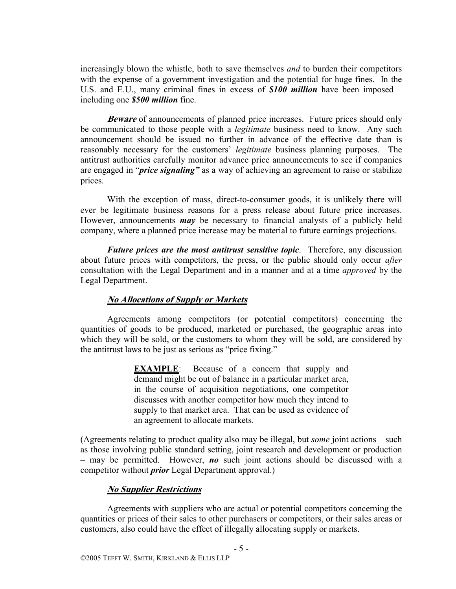increasingly blown the whistle, both to save themselves *and* to burden their competitors with the expense of a government investigation and the potential for huge fines. In the U.S. and E.U., many criminal fines in excess of *\$100 million* have been imposed – including one *\$500 million* fine.

**Beware** of announcements of planned price increases. Future prices should only be communicated to those people with a *legitimate* business need to know. Any such announcement should be issued no further in advance of the effective date than is reasonably necessary for the customers' *legitimate* business planning purposes. The antitrust authorities carefully monitor advance price announcements to see if companies are engaged in "*price signaling"* as a way of achieving an agreement to raise or stabilize prices.

With the exception of mass, direct-to-consumer goods, it is unlikely there will ever be legitimate business reasons for a press release about future price increases. However, announcements *may* be necessary to financial analysts of a publicly held company, where a planned price increase may be material to future earnings projections.

*Future prices are the most antitrust sensitive topic*. Therefore, any discussion about future prices with competitors, the press, or the public should only occur *after* consultation with the Legal Department and in a manner and at a time *approved* by the Legal Department.

#### **No Allocations of Supply or Markets**

Agreements among competitors (or potential competitors) concerning the quantities of goods to be produced, marketed or purchased, the geographic areas into which they will be sold, or the customers to whom they will be sold, are considered by the antitrust laws to be just as serious as "price fixing."

> **EXAMPLE**: Because of a concern that supply and demand might be out of balance in a particular market area, in the course of acquisition negotiations, one competitor discusses with another competitor how much they intend to supply to that market area. That can be used as evidence of an agreement to allocate markets.

(Agreements relating to product quality also may be illegal, but *some* joint actions – such as those involving public standard setting, joint research and development or production – may be permitted. However, *no* such joint actions should be discussed with a competitor without *prior* Legal Department approval.)

#### **No Supplier Restrictions**

Agreements with suppliers who are actual or potential competitors concerning the quantities or prices of their sales to other purchasers or competitors, or their sales areas or customers, also could have the effect of illegally allocating supply or markets.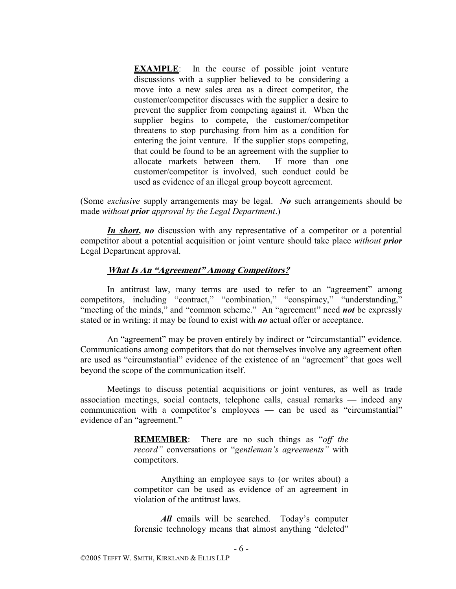**EXAMPLE**: In the course of possible joint venture discussions with a supplier believed to be considering a move into a new sales area as a direct competitor, the customer/competitor discusses with the supplier a desire to prevent the supplier from competing against it. When the supplier begins to compete, the customer/competitor threatens to stop purchasing from him as a condition for entering the joint venture. If the supplier stops competing, that could be found to be an agreement with the supplier to allocate markets between them. If more than one customer/competitor is involved, such conduct could be used as evidence of an illegal group boycott agreement.

(Some *exclusive* supply arrangements may be legal. *No* such arrangements should be made *without prior approval by the Legal Department*.)

*In short***,** *no* discussion with any representative of a competitor or a potential competitor about a potential acquisition or joint venture should take place *without prior*  Legal Department approval.

#### **What Is An "Agreement" Among Competitors?**

In antitrust law, many terms are used to refer to an "agreement" among competitors, including "contract," "combination," "conspiracy," "understanding," "meeting of the minds," and "common scheme." An "agreement" need **not** be expressly stated or in writing: it may be found to exist with *no* actual offer or acceptance.

An "agreement" may be proven entirely by indirect or "circumstantial" evidence. Communications among competitors that do not themselves involve any agreement often are used as "circumstantial" evidence of the existence of an "agreement" that goes well beyond the scope of the communication itself.

Meetings to discuss potential acquisitions or joint ventures, as well as trade association meetings, social contacts, telephone calls, casual remarks — indeed any communication with a competitor's employees — can be used as "circumstantial" evidence of an "agreement."

> **REMEMBER**: There are no such things as "*off the record"* conversations or "*gentleman's agreements"* with competitors.

> Anything an employee says to (or writes about) a competitor can be used as evidence of an agreement in violation of the antitrust laws.

> *All* emails will be searched. Today's computer forensic technology means that almost anything "deleted"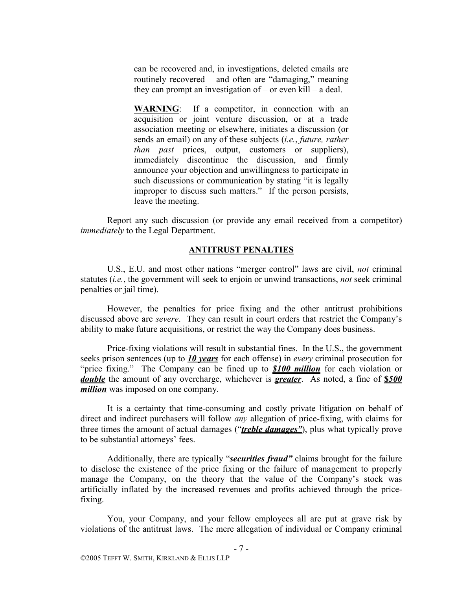can be recovered and, in investigations, deleted emails are routinely recovered – and often are "damaging," meaning they can prompt an investigation of – or even kill – a deal.

**WARNING**: If a competitor, in connection with an acquisition or joint venture discussion, or at a trade association meeting or elsewhere, initiates a discussion (or sends an email) on any of these subjects (*i.e.*, *future, rather than past* prices, output, customers or suppliers), immediately discontinue the discussion, and firmly announce your objection and unwillingness to participate in such discussions or communication by stating "it is legally improper to discuss such matters." If the person persists, leave the meeting.

Report any such discussion (or provide any email received from a competitor) *immediately* to the Legal Department.

#### **ANTITRUST PENALTIES**

U.S., E.U. and most other nations "merger control" laws are civil, *not* criminal statutes (*i.e.*, the government will seek to enjoin or unwind transactions, *not* seek criminal penalties or jail time).

However, the penalties for price fixing and the other antitrust prohibitions discussed above are *severe*. They can result in court orders that restrict the Company's ability to make future acquisitions, or restrict the way the Company does business.

Price-fixing violations will result in substantial fines. In the U.S., the government seeks prison sentences (up to *10 years* for each offense) in *every* criminal prosecution for "price fixing." The Company can be fined up to *\$100 million* for each violation or *double* the amount of any overcharge, whichever is *greater*. As noted, a fine of **\$***500 million* was imposed on one company.

It is a certainty that time-consuming and costly private litigation on behalf of direct and indirect purchasers will follow *any* allegation of price-fixing, with claims for three times the amount of actual damages ("*treble damages"*), plus what typically prove to be substantial attorneys' fees.

Additionally, there are typically "*securities fraud"* claims brought for the failure to disclose the existence of the price fixing or the failure of management to properly manage the Company, on the theory that the value of the Company's stock was artificially inflated by the increased revenues and profits achieved through the pricefixing.

You, your Company, and your fellow employees all are put at grave risk by violations of the antitrust laws. The mere allegation of individual or Company criminal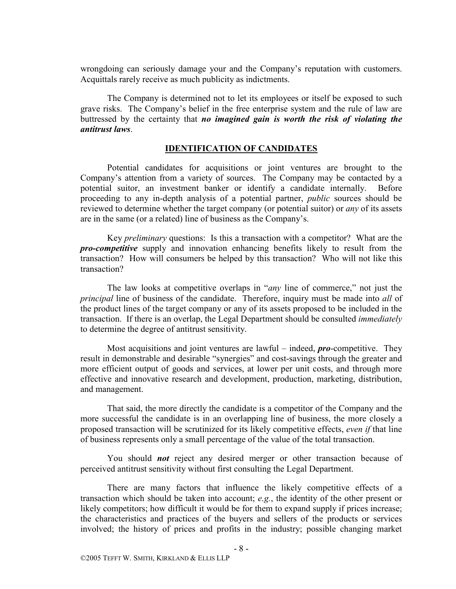wrongdoing can seriously damage your and the Company's reputation with customers. Acquittals rarely receive as much publicity as indictments.

The Company is determined not to let its employees or itself be exposed to such grave risks. The Company's belief in the free enterprise system and the rule of law are buttressed by the certainty that *no imagined gain is worth the risk of violating the antitrust laws*.

#### **IDENTIFICATION OF CANDIDATES**

Potential candidates for acquisitions or joint ventures are brought to the Company's attention from a variety of sources. The Company may be contacted by a potential suitor, an investment banker or identify a candidate internally. Before proceeding to any in-depth analysis of a potential partner, *public* sources should be reviewed to determine whether the target company (or potential suitor) or *any* of its assets are in the same (or a related) line of business as the Company's.

Key *preliminary* questions: Is this a transaction with a competitor? What are the *pro-competitive* supply and innovation enhancing benefits likely to result from the transaction? How will consumers be helped by this transaction? Who will not like this transaction?

The law looks at competitive overlaps in "*any* line of commerce," not just the *principal* line of business of the candidate. Therefore, inquiry must be made into *all* of the product lines of the target company or any of its assets proposed to be included in the transaction. If there is an overlap, the Legal Department should be consulted *immediately*  to determine the degree of antitrust sensitivity.

Most acquisitions and joint ventures are lawful – indeed, *pro*-competitive. They result in demonstrable and desirable "synergies" and cost-savings through the greater and more efficient output of goods and services, at lower per unit costs, and through more effective and innovative research and development, production, marketing, distribution, and management.

That said, the more directly the candidate is a competitor of the Company and the more successful the candidate is in an overlapping line of business, the more closely a proposed transaction will be scrutinized for its likely competitive effects, *even if* that line of business represents only a small percentage of the value of the total transaction.

You should *not* reject any desired merger or other transaction because of perceived antitrust sensitivity without first consulting the Legal Department.

There are many factors that influence the likely competitive effects of a transaction which should be taken into account; *e.g.*, the identity of the other present or likely competitors; how difficult it would be for them to expand supply if prices increase; the characteristics and practices of the buyers and sellers of the products or services involved; the history of prices and profits in the industry; possible changing market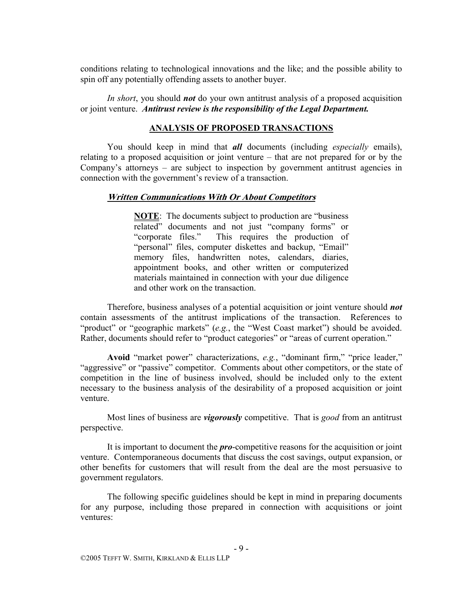conditions relating to technological innovations and the like; and the possible ability to spin off any potentially offending assets to another buyer.

*In short*, you should *not* do your own antitrust analysis of a proposed acquisition or joint venture. *Antitrust review is the responsibility of the Legal Department.*

#### **ANALYSIS OF PROPOSED TRANSACTIONS**

You should keep in mind that *all* documents (including *especially* emails), relating to a proposed acquisition or joint venture – that are not prepared for or by the Company's attorneys – are subject to inspection by government antitrust agencies in connection with the government's review of a transaction.

#### **Written Communications With Or About Competitors**

**NOTE**: The documents subject to production are "business related" documents and not just "company forms" or "corporate files." This requires the production of "personal" files, computer diskettes and backup, "Email" memory files, handwritten notes, calendars, diaries, appointment books, and other written or computerized materials maintained in connection with your due diligence and other work on the transaction.

Therefore, business analyses of a potential acquisition or joint venture should *not* contain assessments of the antitrust implications of the transaction. References to "product" or "geographic markets" (*e.g.*, the "West Coast market") should be avoided. Rather, documents should refer to "product categories" or "areas of current operation."

**Avoid** "market power" characterizations, *e.g.*, "dominant firm," "price leader," "aggressive" or "passive" competitor. Comments about other competitors, or the state of competition in the line of business involved, should be included only to the extent necessary to the business analysis of the desirability of a proposed acquisition or joint venture.

Most lines of business are *vigorously* competitive. That is *good* from an antitrust perspective.

It is important to document the *pro*-competitive reasons for the acquisition or joint venture. Contemporaneous documents that discuss the cost savings, output expansion, or other benefits for customers that will result from the deal are the most persuasive to government regulators.

The following specific guidelines should be kept in mind in preparing documents for any purpose, including those prepared in connection with acquisitions or joint ventures: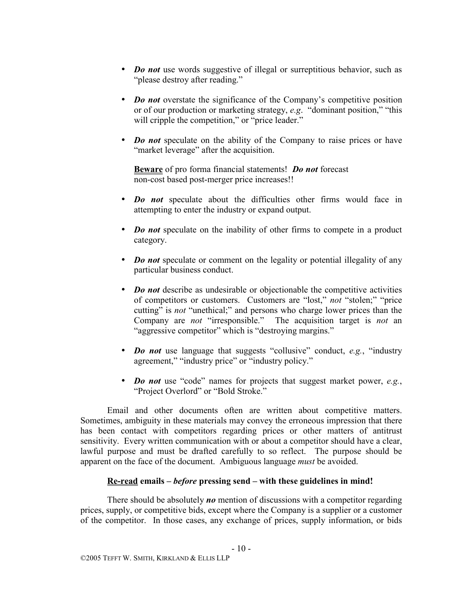- *Do not* use words suggestive of illegal or surreptitious behavior, such as "please destroy after reading."
- *Do not* overstate the significance of the Company's competitive position or of our production or marketing strategy, *e.g*. "dominant position," "this will cripple the competition," or "price leader."
- *Do not* speculate on the ability of the Company to raise prices or have "market leverage" after the acquisition.

**Beware** of pro forma financial statements! *Do not* forecast non-cost based post-merger price increases!!

- *Do not* speculate about the difficulties other firms would face in attempting to enter the industry or expand output.
- *Do not* speculate on the inability of other firms to compete in a product category.
- *Do not* speculate or comment on the legality or potential illegality of any particular business conduct.
- *Do not* describe as undesirable or objectionable the competitive activities of competitors or customers. Customers are "lost," *not* "stolen;" "price cutting" is *not* "unethical;" and persons who charge lower prices than the Company are *not* "irresponsible." The acquisition target is *not* an "aggressive competitor" which is "destroying margins."
- *Do not* use language that suggests "collusive" conduct, *e.g.*, "industry agreement," "industry price" or "industry policy."
- *Do not* use "code" names for projects that suggest market power, *e.g.*, "Project Overlord" or "Bold Stroke."

Email and other documents often are written about competitive matters. Sometimes, ambiguity in these materials may convey the erroneous impression that there has been contact with competitors regarding prices or other matters of antitrust sensitivity. Every written communication with or about a competitor should have a clear, lawful purpose and must be drafted carefully to so reflect. The purpose should be apparent on the face of the document. Ambiguous language *must* be avoided.

# **Re-read emails –** *before* **pressing send – with these guidelines in mind!**

There should be absolutely *no* mention of discussions with a competitor regarding prices, supply, or competitive bids, except where the Company is a supplier or a customer of the competitor. In those cases, any exchange of prices, supply information, or bids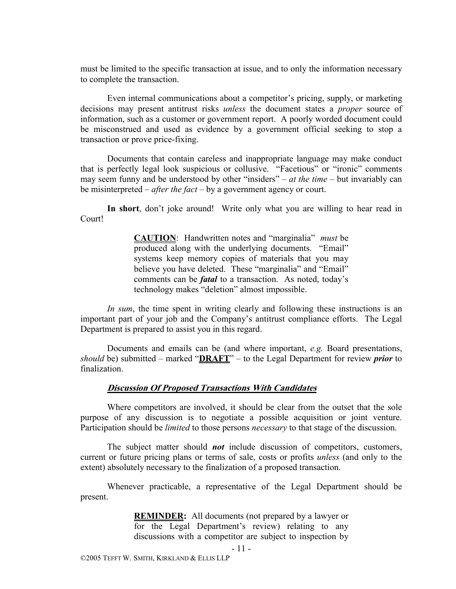must be limited to the specific transaction at issue, and to only the information necessary to complete the transaction.

Even internal communications about a competitor's pricing, supply, or marketing decisions may present antitrust risks *unless* the document states a *proper* source of information, such as a customer or government report. A poorly worded document could be misconstrued and used as evidence by a government official seeking to stop a transaction or prove price-fixing.

Documents that contain careless and inappropriate language may make conduct that is perfectly legal look suspicious or collusive. "Facetious" or "ironic" comments may seem funny and be understood by other "insiders" – *at the time* – but invariably can be misinterpreted – *after the fact* – by a government agency or court.

**In short**, don't joke around! Write only what you are willing to hear read in Court!

> **CAUTION**: Handwritten notes and "marginalia" *must* be produced along with the underlying documents. "Email" systems keep memory copies of materials that you may believe you have deleted. These "marginalia" and "Email" comments can be *fatal* to a transaction. As noted, today's technology makes "deletion" almost impossible.

*In sum*, the time spent in writing clearly and following these instructions is an important part of your job and the Company's antitrust compliance efforts. The Legal Department is prepared to assist you in this regard.

Documents and emails can be (and where important, *e.g.* Board presentations, *should* be) submitted – marked "**DRAFT**" – to the Legal Department for review *prior* to finalization.

#### **Discussion Of Proposed Transactions With Candidates**

Where competitors are involved, it should be clear from the outset that the sole purpose of any discussion is to negotiate a possible acquisition or joint venture. Participation should be *limited* to those persons *necessary* to that stage of the discussion.

The subject matter should *not* include discussion of competitors, customers, current or future pricing plans or terms of sale, costs or profits *unless* (and only to the extent) absolutely necessary to the finalization of a proposed transaction.

Whenever practicable, a representative of the Legal Department should be present.

> **REMINDER:** All documents (not prepared by a lawyer or for the Legal Department's review) relating to any discussions with a competitor are subject to inspection by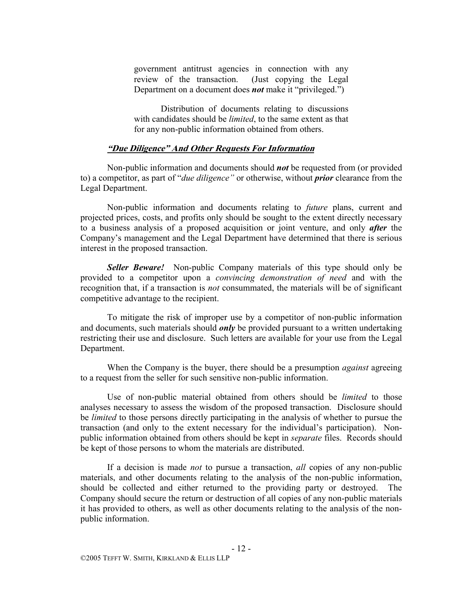government antitrust agencies in connection with any review of the transaction. (Just copying the Legal Department on a document does *not* make it "privileged.")

 Distribution of documents relating to discussions with candidates should be *limited*, to the same extent as that for any non-public information obtained from others.

#### **"Due Diligence" And Other Requests For Information**

Non-public information and documents should *not* be requested from (or provided to) a competitor, as part of "*due diligence"* or otherwise, without *prior* clearance from the Legal Department.

Non-public information and documents relating to *future* plans, current and projected prices, costs, and profits only should be sought to the extent directly necessary to a business analysis of a proposed acquisition or joint venture, and only *after* the Company's management and the Legal Department have determined that there is serious interest in the proposed transaction.

*Seller Beware!* Non-public Company materials of this type should only be provided to a competitor upon a *convincing demonstration of need* and with the recognition that, if a transaction is *not* consummated, the materials will be of significant competitive advantage to the recipient.

To mitigate the risk of improper use by a competitor of non-public information and documents, such materials should *only* be provided pursuant to a written undertaking restricting their use and disclosure. Such letters are available for your use from the Legal Department.

When the Company is the buyer, there should be a presumption *against* agreeing to a request from the seller for such sensitive non-public information.

Use of non-public material obtained from others should be *limited* to those analyses necessary to assess the wisdom of the proposed transaction. Disclosure should be *limited* to those persons directly participating in the analysis of whether to pursue the transaction (and only to the extent necessary for the individual's participation). Nonpublic information obtained from others should be kept in *separate* files. Records should be kept of those persons to whom the materials are distributed.

If a decision is made *not* to pursue a transaction, *all* copies of any non-public materials, and other documents relating to the analysis of the non-public information, should be collected and either returned to the providing party or destroyed. The Company should secure the return or destruction of all copies of any non-public materials it has provided to others, as well as other documents relating to the analysis of the nonpublic information.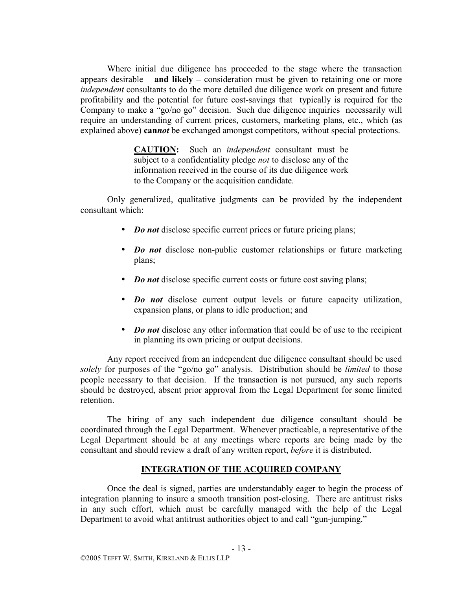Where initial due diligence has proceeded to the stage where the transaction appears desirable – **and likely –** consideration must be given to retaining one or more *independent* consultants to do the more detailed due diligence work on present and future profitability and the potential for future cost-savings that typically is required for the Company to make a "go/no go" decision. Such due diligence inquiries necessarily will require an understanding of current prices, customers, marketing plans, etc., which (as explained above) **can***not* be exchanged amongst competitors, without special protections.

> **CAUTION:** Such an *independent* consultant must be subject to a confidentiality pledge *not* to disclose any of the information received in the course of its due diligence work to the Company or the acquisition candidate.

Only generalized, qualitative judgments can be provided by the independent consultant which:

- *Do not* disclose specific current prices or future pricing plans;
- *Do not* disclose non-public customer relationships or future marketing plans;
- *Do not* disclose specific current costs or future cost saving plans;
- *Do not* disclose current output levels or future capacity utilization, expansion plans, or plans to idle production; and
- *Do not* disclose any other information that could be of use to the recipient in planning its own pricing or output decisions.

Any report received from an independent due diligence consultant should be used *solely* for purposes of the "go/no go" analysis. Distribution should be *limited* to those people necessary to that decision. If the transaction is not pursued, any such reports should be destroyed, absent prior approval from the Legal Department for some limited retention.

The hiring of any such independent due diligence consultant should be coordinated through the Legal Department. Whenever practicable, a representative of the Legal Department should be at any meetings where reports are being made by the consultant and should review a draft of any written report, *before* it is distributed.

# **INTEGRATION OF THE ACQUIRED COMPANY**

Once the deal is signed, parties are understandably eager to begin the process of integration planning to insure a smooth transition post-closing. There are antitrust risks in any such effort, which must be carefully managed with the help of the Legal Department to avoid what antitrust authorities object to and call "gun-jumping."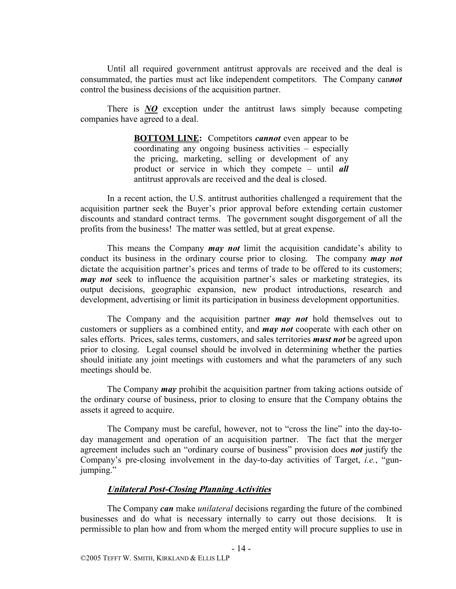Until all required government antitrust approvals are received and the deal is consummated, the parties must act like independent competitors. The Company can*not* control the business decisions of the acquisition partner.

There is *NO* exception under the antitrust laws simply because competing companies have agreed to a deal.

> **BOTTOM LINE:** Competitors *cannot* even appear to be coordinating any ongoing business activities – especially the pricing, marketing, selling or development of any product or service in which they compete – until *all* antitrust approvals are received and the deal is closed.

In a recent action, the U.S. antitrust authorities challenged a requirement that the acquisition partner seek the Buyer's prior approval before extending certain customer discounts and standard contract terms. The government sought disgorgement of all the profits from the business! The matter was settled, but at great expense.

This means the Company *may not* limit the acquisition candidate's ability to conduct its business in the ordinary course prior to closing. The company *may not* dictate the acquisition partner's prices and terms of trade to be offered to its customers; *may not* seek to influence the acquisition partner's sales or marketing strategies, its output decisions, geographic expansion, new product introductions, research and development, advertising or limit its participation in business development opportunities.

The Company and the acquisition partner *may not* hold themselves out to customers or suppliers as a combined entity, and *may not* cooperate with each other on sales efforts. Prices, sales terms, customers, and sales territories *must not* be agreed upon prior to closing. Legal counsel should be involved in determining whether the parties should initiate any joint meetings with customers and what the parameters of any such meetings should be.

The Company *may* prohibit the acquisition partner from taking actions outside of the ordinary course of business, prior to closing to ensure that the Company obtains the assets it agreed to acquire.

The Company must be careful, however, not to "cross the line" into the day-today management and operation of an acquisition partner. The fact that the merger agreement includes such an "ordinary course of business" provision does *not* justify the Company's pre-closing involvement in the day-to-day activities of Target, *i.e.*, "gunjumping."

#### **Unilateral Post-Closing Planning Activities**

The Company *can* make *unilateral* decisions regarding the future of the combined businesses and do what is necessary internally to carry out those decisions. It is permissible to plan how and from whom the merged entity will procure supplies to use in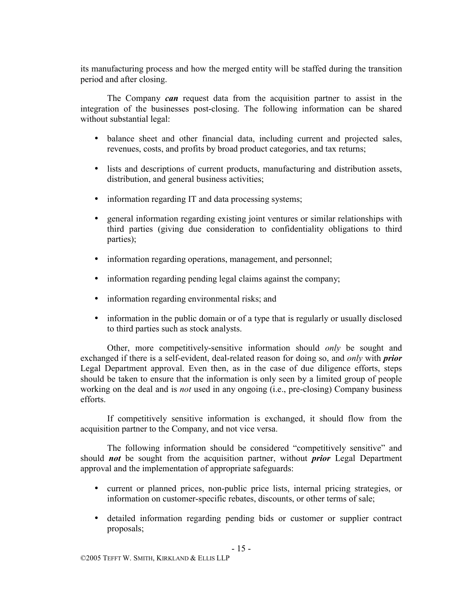its manufacturing process and how the merged entity will be staffed during the transition period and after closing.

The Company *can* request data from the acquisition partner to assist in the integration of the businesses post-closing. The following information can be shared without substantial legal:

- balance sheet and other financial data, including current and projected sales, revenues, costs, and profits by broad product categories, and tax returns;
- lists and descriptions of current products, manufacturing and distribution assets, distribution, and general business activities;
- information regarding IT and data processing systems;
- general information regarding existing joint ventures or similar relationships with third parties (giving due consideration to confidentiality obligations to third parties);
- information regarding operations, management, and personnel;
- information regarding pending legal claims against the company;
- information regarding environmental risks; and
- information in the public domain or of a type that is regularly or usually disclosed to third parties such as stock analysts.

Other, more competitively-sensitive information should *only* be sought and exchanged if there is a self-evident, deal-related reason for doing so, and *only* with *prior*  Legal Department approval. Even then, as in the case of due diligence efforts, steps should be taken to ensure that the information is only seen by a limited group of people working on the deal and is *not* used in any ongoing (i.e., pre-closing) Company business efforts.

If competitively sensitive information is exchanged, it should flow from the acquisition partner to the Company, and not vice versa.

The following information should be considered "competitively sensitive" and should *not* be sought from the acquisition partner, without *prior* Legal Department approval and the implementation of appropriate safeguards:

- current or planned prices, non-public price lists, internal pricing strategies, or information on customer-specific rebates, discounts, or other terms of sale;
- detailed information regarding pending bids or customer or supplier contract proposals;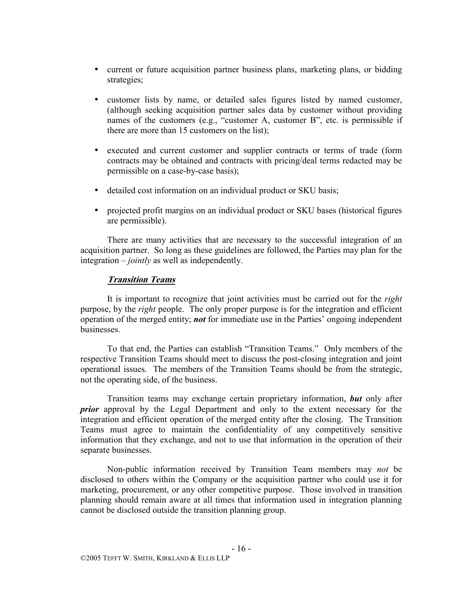- current or future acquisition partner business plans, marketing plans, or bidding strategies;
- customer lists by name, or detailed sales figures listed by named customer, (although seeking acquisition partner sales data by customer without providing names of the customers (e.g., "customer A, customer B", etc. is permissible if there are more than 15 customers on the list);
- executed and current customer and supplier contracts or terms of trade (form contracts may be obtained and contracts with pricing/deal terms redacted may be permissible on a case-by-case basis);
- detailed cost information on an individual product or SKU basis;
- projected profit margins on an individual product or SKU bases (historical figures are permissible).

There are many activities that are necessary to the successful integration of an acquisition partner. So long as these guidelines are followed, the Parties may plan for the integration – *jointly* as well as independently.

# **Transition Teams**

It is important to recognize that joint activities must be carried out for the *right*  purpose, by the *right* people. The only proper purpose is for the integration and efficient operation of the merged entity; *not* for immediate use in the Parties' ongoing independent businesses.

To that end, the Parties can establish "Transition Teams." Only members of the respective Transition Teams should meet to discuss the post-closing integration and joint operational issues. The members of the Transition Teams should be from the strategic, not the operating side, of the business.

Transition teams may exchange certain proprietary information, *but* only after *prior* approval by the Legal Department and only to the extent necessary for the integration and efficient operation of the merged entity after the closing. The Transition Teams must agree to maintain the confidentiality of any competitively sensitive information that they exchange, and not to use that information in the operation of their separate businesses.

Non-public information received by Transition Team members may *not* be disclosed to others within the Company or the acquisition partner who could use it for marketing, procurement, or any other competitive purpose. Those involved in transition planning should remain aware at all times that information used in integration planning cannot be disclosed outside the transition planning group.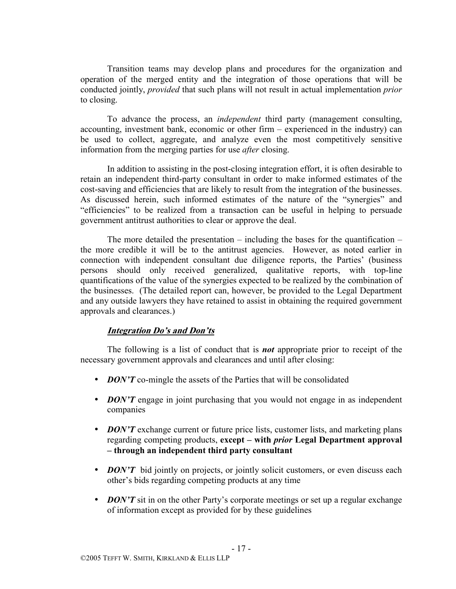Transition teams may develop plans and procedures for the organization and operation of the merged entity and the integration of those operations that will be conducted jointly, *provided* that such plans will not result in actual implementation *prior*  to closing.

To advance the process, an *independent* third party (management consulting, accounting, investment bank, economic or other firm – experienced in the industry) can be used to collect, aggregate, and analyze even the most competitively sensitive information from the merging parties for use *after* closing.

In addition to assisting in the post-closing integration effort, it is often desirable to retain an independent third-party consultant in order to make informed estimates of the cost-saving and efficiencies that are likely to result from the integration of the businesses. As discussed herein, such informed estimates of the nature of the "synergies" and "efficiencies" to be realized from a transaction can be useful in helping to persuade government antitrust authorities to clear or approve the deal.

The more detailed the presentation – including the bases for the quantification – the more credible it will be to the antitrust agencies. However, as noted earlier in connection with independent consultant due diligence reports, the Parties' (business persons should only received generalized, qualitative reports, with top-line quantifications of the value of the synergies expected to be realized by the combination of the businesses. (The detailed report can, however, be provided to the Legal Department and any outside lawyers they have retained to assist in obtaining the required government approvals and clearances.)

# **Integration Do's and Don'ts**

The following is a list of conduct that is *not* appropriate prior to receipt of the necessary government approvals and clearances and until after closing:

- *DON'T* co-mingle the assets of the Parties that will be consolidated
- *DON'T* engage in joint purchasing that you would not engage in as independent companies
- *DON'T* exchange current or future price lists, customer lists, and marketing plans regarding competing products, **except – with** *prior* **Legal Department approval – through an independent third party consultant**
- *DON'T* bid jointly on projects, or jointly solicit customers, or even discuss each other's bids regarding competing products at any time
- *DON'T* sit in on the other Party's corporate meetings or set up a regular exchange of information except as provided for by these guidelines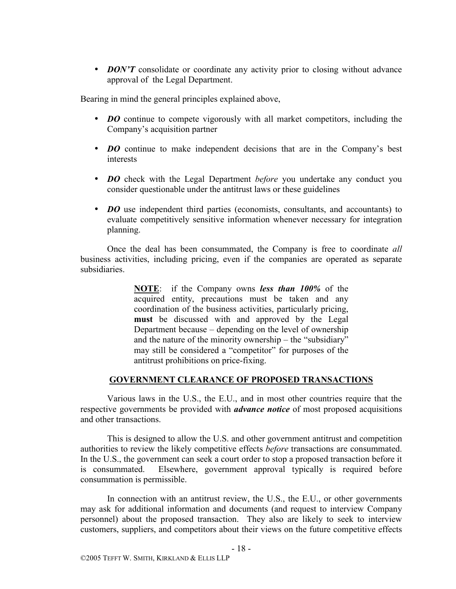• *DON'T* consolidate or coordinate any activity prior to closing without advance approval of the Legal Department.

Bearing in mind the general principles explained above,

- *DO* continue to compete vigorously with all market competitors, including the Company's acquisition partner
- *DO* continue to make independent decisions that are in the Company's best interests
- *DO* check with the Legal Department *before* you undertake any conduct you consider questionable under the antitrust laws or these guidelines
- *DO* use independent third parties (economists, consultants, and accountants) to evaluate competitively sensitive information whenever necessary for integration planning.

Once the deal has been consummated, the Company is free to coordinate *all*  business activities, including pricing, even if the companies are operated as separate subsidiaries.

> **NOTE**: if the Company owns *less than 100%* of the acquired entity, precautions must be taken and any coordination of the business activities, particularly pricing, **must** be discussed with and approved by the Legal Department because – depending on the level of ownership and the nature of the minority ownership – the "subsidiary" may still be considered a "competitor" for purposes of the antitrust prohibitions on price-fixing.

# **GOVERNMENT CLEARANCE OF PROPOSED TRANSACTIONS**

Various laws in the U.S., the E.U., and in most other countries require that the respective governments be provided with *advance notice* of most proposed acquisitions and other transactions.

This is designed to allow the U.S. and other government antitrust and competition authorities to review the likely competitive effects *before* transactions are consummated. In the U.S., the government can seek a court order to stop a proposed transaction before it is consummated. Elsewhere, government approval typically is required before consummation is permissible.

In connection with an antitrust review, the U.S., the E.U., or other governments may ask for additional information and documents (and request to interview Company personnel) about the proposed transaction. They also are likely to seek to interview customers, suppliers, and competitors about their views on the future competitive effects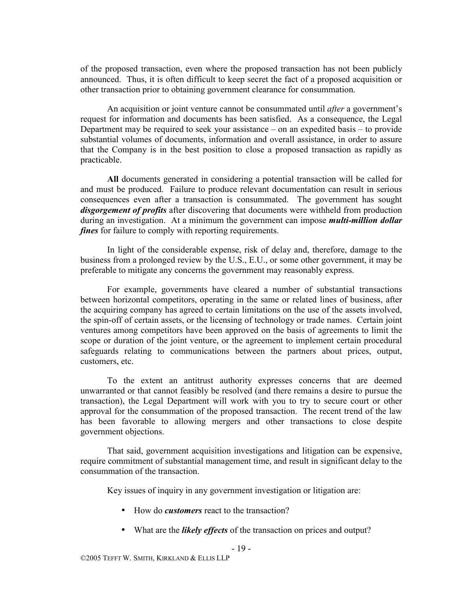of the proposed transaction, even where the proposed transaction has not been publicly announced. Thus, it is often difficult to keep secret the fact of a proposed acquisition or other transaction prior to obtaining government clearance for consummation.

An acquisition or joint venture cannot be consummated until *after* a government's request for information and documents has been satisfied. As a consequence, the Legal Department may be required to seek your assistance – on an expedited basis – to provide substantial volumes of documents, information and overall assistance, in order to assure that the Company is in the best position to close a proposed transaction as rapidly as practicable.

**All** documents generated in considering a potential transaction will be called for and must be produced. Failure to produce relevant documentation can result in serious consequences even after a transaction is consummated. The government has sought *disgorgement of profits* after discovering that documents were withheld from production during an investigation. At a minimum the government can impose *multi-million dollar fines* for failure to comply with reporting requirements.

In light of the considerable expense, risk of delay and, therefore, damage to the business from a prolonged review by the U.S., E.U., or some other government, it may be preferable to mitigate any concerns the government may reasonably express.

For example, governments have cleared a number of substantial transactions between horizontal competitors, operating in the same or related lines of business, after the acquiring company has agreed to certain limitations on the use of the assets involved, the spin-off of certain assets, or the licensing of technology or trade names. Certain joint ventures among competitors have been approved on the basis of agreements to limit the scope or duration of the joint venture, or the agreement to implement certain procedural safeguards relating to communications between the partners about prices, output, customers, etc.

To the extent an antitrust authority expresses concerns that are deemed unwarranted or that cannot feasibly be resolved (and there remains a desire to pursue the transaction), the Legal Department will work with you to try to secure court or other approval for the consummation of the proposed transaction. The recent trend of the law has been favorable to allowing mergers and other transactions to close despite government objections.

That said, government acquisition investigations and litigation can be expensive, require commitment of substantial management time, and result in significant delay to the consummation of the transaction.

Key issues of inquiry in any government investigation or litigation are:

- How do *customers* react to the transaction?
- What are the *likely effects* of the transaction on prices and output?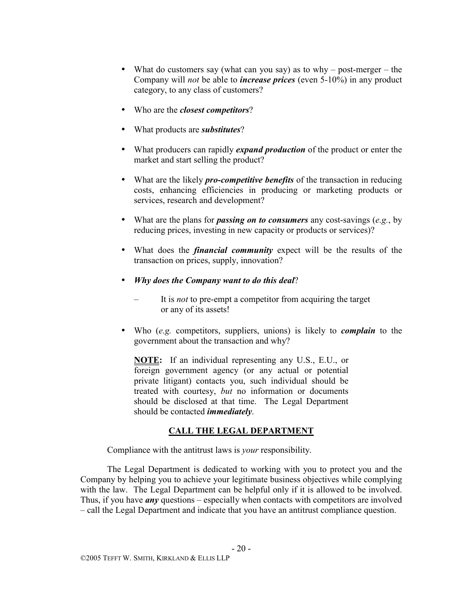- What do customers say (what can you say) as to why post-merger the Company will *not* be able to *increase prices* (even 5-10%) in any product category, to any class of customers?
- Who are the *closest competitors*?
- What products are *substitutes*?
- What producers can rapidly *expand production* of the product or enter the market and start selling the product?
- What are the likely *pro-competitive benefits* of the transaction in reducing costs, enhancing efficiencies in producing or marketing products or services, research and development?
- What are the plans for *passing on to consumers* any cost-savings (*e.g.*, by reducing prices, investing in new capacity or products or services)?
- What does the *financial community* expect will be the results of the transaction on prices, supply, innovation?
- *Why does the Company want to do this deal*?
	- It is *not* to pre-empt a competitor from acquiring the target or any of its assets!
- Who (*e.g.* competitors, suppliers, unions) is likely to *complain* to the government about the transaction and why?

**NOTE:** If an individual representing any U.S., E.U., or foreign government agency (or any actual or potential private litigant) contacts you, such individual should be treated with courtesy, *but* no information or documents should be disclosed at that time. The Legal Department should be contacted *immediately*.

# **CALL THE LEGAL DEPARTMENT**

Compliance with the antitrust laws is *your* responsibility.

The Legal Department is dedicated to working with you to protect you and the Company by helping you to achieve your legitimate business objectives while complying with the law. The Legal Department can be helpful only if it is allowed to be involved. Thus, if you have *any* questions – especially when contacts with competitors are involved – call the Legal Department and indicate that you have an antitrust compliance question.